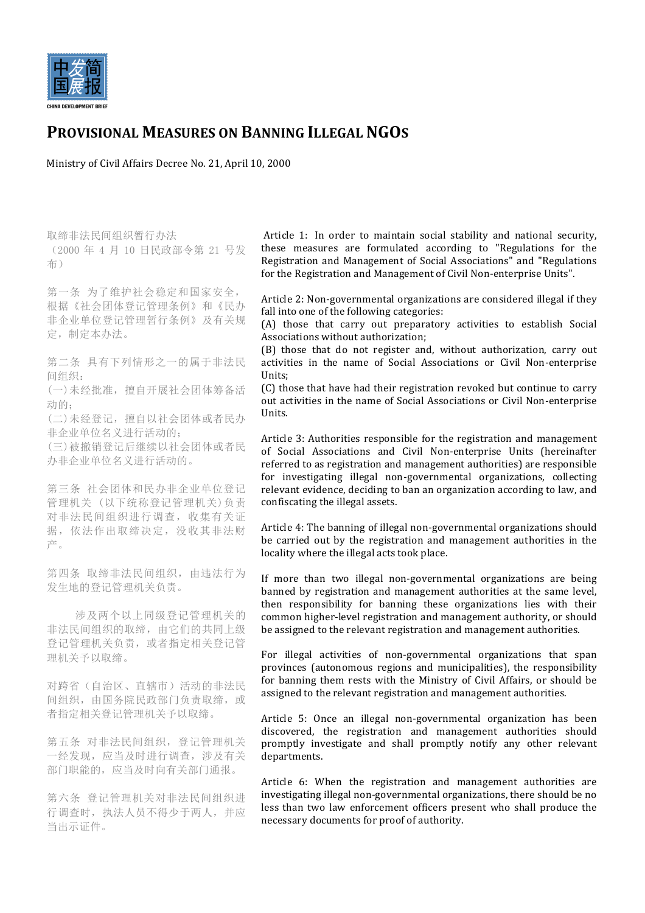

## **PROVISIONAL MEASURES ON BANNING ILLEGAL NGOS**

Ministry of Civil Affairs Decree No. 21, April 10, 2000

取缔非法民间组织暂行办法 (2000 年 4 月 10 日民政部令第 21 号发 布)

第一条 为了维护社会稳定和国家安全, 根据《社会团体登记管理条例》和《民办 非企业单位登记管理暂行条例》及有关规 定,制定本办法。

第二条 具有下列情形之一的属于非法民 间组织:

(一)未经批准,擅自开展社会团体筹备活 动的:

(二)未经登记,擅自以社会团体或者民办 非企业单位名义进行活动的;

(三)被撤销登记后继续以社会团体或者民 办非企业单位名义进行活动的。

第三条 社会团体和民办非企业单位登记 管理机关 (以下统称登记管理机关)负责 对非法民间组织进行调查,收集有关证 据,依法作出取缔决定,没收其非法财 产。

第四条 取缔非法民间组织,由违法行为 发生地的登记管理机关负责。

涉及两个以上同级登记管理机关的 非法民间组织的取缔,由它们的共同上级 登记管理机关负责,或者指定相关登记管 理机关予以取缔。

对跨省(自治区、直辖市)活动的非法民 间组织,由国务院民政部门负责取缔,或 者指定相关登记管理机关予以取缔。

第五条 对非法民间组织,登记管理机关 一经发现,应当及时进行调查,涉及有关 部门职能的,应当及时向有关部门通报。

第六条 登记管理机关对非法民间组织进 行调查时,执法人员不得少于两人,并应 当出示证件。

Article 1: In order to maintain social stability and national security, these measures are formulated according to "Regulations for the Registration and Management of Social Associations" and "Regulations for the Registration and Management of Civil Non-enterprise Units".

Article 2: Non-governmental organizations are considered illegal if they fall into one of the following categories:

(A) those that carry out preparatory activities to establish Social Associations without authorization;

(B) those that do not register and, without authorization, carry out activities in the name of Social Associations or Civil Non-enterprise Units;

(C) those that have had their registration revoked but continue to carry out activities in the name of Social Associations or Civil Non-enterprise Units.

Article 3: Authorities responsible for the registration and management of Social Associations and Civil Non-enterprise Units (hereinafter referred to as registration and management authorities) are responsible for investigating illegal non-governmental organizations, collecting relevant evidence, deciding to ban an organization according to law, and confiscating the illegal assets.

Article 4: The banning of illegal non-governmental organizations should be carried out by the registration and management authorities in the locality where the illegal acts took place.

If more than two illegal non-governmental organizations are being banned by registration and management authorities at the same level, then responsibility for banning these organizations lies with their common higher-level registration and management authority, or should be assigned to the relevant registration and management authorities.

For illegal activities of non-governmental organizations that span provinces (autonomous regions and municipalities), the responsibility for banning them rests with the Ministry of Civil Affairs, or should be assigned to the relevant registration and management authorities.

Article 5: Once an illegal non-governmental organization has been discovered, the registration and management authorities should promptly investigate and shall promptly notify any other relevant departments.

Article 6: When the registration and management authorities are investigating illegal non-governmental organizations, there should be no less than two law enforcement officers present who shall produce the necessary documents for proof of authority.